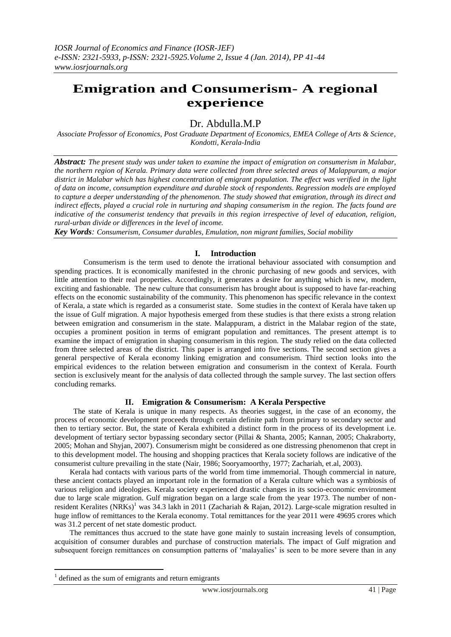# **Emigration and Consumerism- A regional experience**

Dr. Abdulla.M.P

*Associate Professor of Economics, Post Graduate Department of Economics, EMEA College of Arts & Science, Kondotti, Kerala-India*

*Abstract: The present study was under taken to examine the impact of emigration on consumerism in Malabar, the northern region of Kerala. Primary data were collected from three selected areas of Malappuram, a major district in Malabar which has highest concentration of emigrant population. The effect was verified in the light of data on income, consumption expenditure and durable stock of respondents. Regression models are employed to capture a deeper understanding of the phenomenon. The study showed that emigration, through its direct and indirect effects, played a crucial role in nurturing and shaping consumerism in the region. The facts found are indicative of the consumerist tendency that prevails in this region irrespective of level of education, religion, rural-urban divide or differences in the level of income.* 

*Key Words: Consumerism, Consumer durables, Emulation, non migrant families, Social mobility* 

## **I. Introduction**

 Consumerism is the term used to denote the irrational behaviour associated with consumption and spending practices. It is economically manifested in the chronic purchasing of new goods and services, with little attention to their real properties. Accordingly, it generates a desire for anything which is new, modern, exciting and fashionable. The new culture that consumerism has brought about is supposed to have far-reaching effects on the economic sustainability of the community. This phenomenon has specific relevance in the context of Kerala, a state which is regarded as a consumerist state. Some studies in the context of Kerala have taken up the issue of Gulf migration. A major hypothesis emerged from these studies is that there exists a strong relation between emigration and consumerism in the state. Malappuram, a district in the Malabar region of the state, occupies a prominent position in terms of emigrant population and remittances. The present attempt is to examine the impact of emigration in shaping consumerism in this region. The study relied on the data collected from three selected areas of the district. This paper is arranged into five sections. The second section gives a general perspective of Kerala economy linking emigration and consumerism. Third section looks into the empirical evidences to the relation between emigration and consumerism in the context of Kerala. Fourth section is exclusively meant for the analysis of data collected through the sample survey. The last section offers concluding remarks.

## **II. Emigration & Consumerism: A Kerala Perspective**

 The state of Kerala is unique in many respects. As theories suggest, in the case of an economy, the process of economic development proceeds through certain definite path from primary to secondary sector and then to tertiary sector. But, the state of Kerala exhibited a distinct form in the process of its development i.e. development of tertiary sector bypassing secondary sector (Pillai & Shanta, 2005; Kannan, 2005; Chakraborty, 2005; Mohan and Shyjan, 2007). Consumerism might be considered as one distressing phenomenon that crept in to this development model. The housing and shopping practices that Kerala society follows are indicative of the consumerist culture prevailing in the state (Nair, 1986; Sooryamoorthy, 1977; Zachariah, et.al, 2003).

 Kerala had contacts with various parts of the world from time immemorial. Though commercial in nature, these ancient contacts played an important role in the formation of a Kerala culture which was a symbiosis of various religion and ideologies. Kerala society experienced drastic changes in its socio-economic environment due to large scale migration. Gulf migration began on a large scale from the year 1973. The number of nonresident Keralites (NRKs)<sup>1</sup> was 34.3 lakh in 2011 (Zachariah & Rajan, 2012). Large-scale migration resulted in huge inflow of remittances to the Kerala economy. Total remittances for the year 2011 were 49695 crores which was 31.2 percent of net state domestic product.

 The remittances thus accrued to the state have gone mainly to sustain increasing levels of consumption, acquisition of consumer durables and purchase of construction materials. The impact of Gulf migration and subsequent foreign remittances on consumption patterns of 'malayalies' is seen to be more severe than in any

1

<sup>1</sup> defined as the sum of emigrants and return emigrants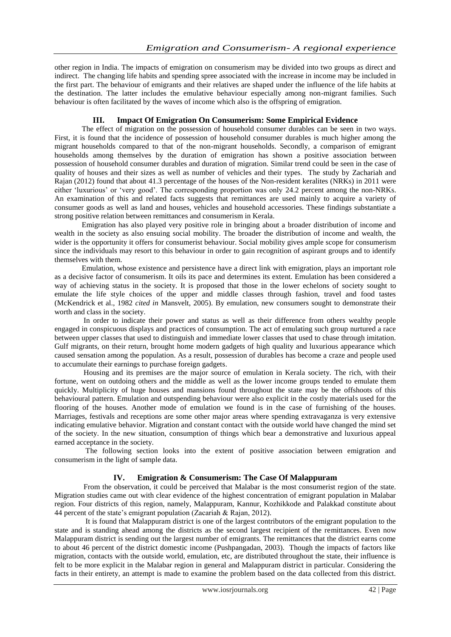other region in India. The impacts of emigration on consumerism may be divided into two groups as direct and indirect. The changing life habits and spending spree associated with the increase in income may be included in the first part. The behaviour of emigrants and their relatives are shaped under the influence of the life habits at the destination. The latter includes the emulative behaviour especially among non-migrant families. Such behaviour is often facilitated by the waves of income which also is the offspring of emigration.

## **III. Impact Of Emigration On Consumerism: Some Empirical Evidence**

 The effect of migration on the possession of household consumer durables can be seen in two ways. First, it is found that the incidence of possession of household consumer durables is much higher among the migrant households compared to that of the non-migrant households. Secondly, a comparison of emigrant households among themselves by the duration of emigration has shown a positive association between possession of household consumer durables and duration of migration. Similar trend could be seen in the case of quality of houses and their sizes as well as number of vehicles and their types. The study by Zachariah and Rajan (2012) found that about 41.3 percentage of the houses of the Non-resident keralites (NRKs) in 2011 were either 'luxurious' or 'very good'. The corresponding proportion was only 24.2 percent among the non-NRKs. An examination of this and related facts suggests that remittances are used mainly to acquire a variety of consumer goods as well as land and houses, vehicles and household accessories. These findings substantiate a strong positive relation between remittances and consumerism in Kerala.

 Emigration has also played very positive role in bringing about a broader distribution of income and wealth in the society as also ensuing social mobility. The broader the distribution of income and wealth, the wider is the opportunity it offers for consumerist behaviour. Social mobility gives ample scope for consumerism since the individuals may resort to this behaviour in order to gain recognition of aspirant groups and to identify themselves with them.

 Emulation, whose existence and persistence have a direct link with emigration, plays an important role as a decisive factor of consumerism. It oils its pace and determines its extent. Emulation has been considered a way of achieving status in the society. It is proposed that those in the lower echelons of society sought to emulate the life style choices of the upper and middle classes through fashion, travel and food tastes (McKendrick et al., 1982 *cited in* Mansvelt, 2005). By emulation, new consumers sought to demonstrate their worth and class in the society.

 In order to indicate their power and status as well as their difference from others wealthy people engaged in conspicuous displays and practices of consumption. The act of emulating such group nurtured a race between upper classes that used to distinguish and immediate lower classes that used to chase through imitation. Gulf migrants, on their return, brought home modern gadgets of high quality and luxurious appearance which caused sensation among the population. As a result, possession of durables has become a craze and people used to accumulate their earnings to purchase foreign gadgets.

 Housing and its premises are the major source of emulation in Kerala society. The rich, with their fortune, went on outdoing others and the middle as well as the lower income groups tended to emulate them quickly. Multiplicity of huge houses and mansions found throughout the state may be the offshoots of this behavioural pattern. Emulation and outspending behaviour were also explicit in the costly materials used for the flooring of the houses. Another mode of emulation we found is in the case of furnishing of the houses. Marriages, festivals and receptions are some other major areas where spending extravaganza is very extensive indicating emulative behavior. Migration and constant contact with the outside world have changed the mind set of the society. In the new situation, consumption of things which bear a demonstrative and luxurious appeal earned acceptance in the society.

 The following section looks into the extent of positive association between emigration and consumerism in the light of sample data.

## **IV. Emigration & Consumerism: The Case Of Malappuram**

 From the observation, it could be perceived that Malabar is the most consumerist region of the state. Migration studies came out with clear evidence of the highest concentration of emigrant population in Malabar region. Four districts of this region, namely, Malappuram, Kannur, Kozhikkode and Palakkad constitute about 44 percent of the state"s emigrant population (Zacariah & Rajan, 2012).

 It is found that Malappuram district is one of the largest contributors of the emigrant population to the state and is standing ahead among the districts as the second largest recipient of the remittances. Even now Malappuram district is sending out the largest number of emigrants. The remittances that the district earns come to about 46 percent of the district domestic income (Pushpangadan, 2003). Though the impacts of factors like migration, contacts with the outside world, emulation, etc, are distributed throughout the state, their influence is felt to be more explicit in the Malabar region in general and Malappuram district in particular. Considering the facts in their entirety, an attempt is made to examine the problem based on the data collected from this district.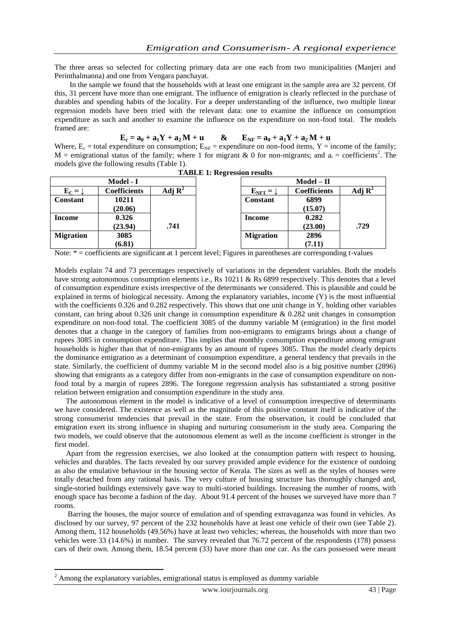The three areas so selected for collecting primary data are one each from two municipalities (Manjeri and Perinthalmanna) and one from Vengara panchayat.

 In the sample we found that the households with at least one emigrant in the sample area are 32 percent. Of this, 31 percent have more than one emigrant. The influence of emigration is clearly reflected in the purchase of durables and spending habits of the locality. For a deeper understanding of the influence, two multiple linear regression models have been tried with the relevant data: one to examine the influence on consumption expenditure as such and another to examine the influence on the expenditure on non-food total. The models framed are:

$$
E_c = a_0 + a_1 Y + a_2 M + u \qquad & \qquad E_{NF} = a_0 + a_1 Y + a_2 M + u
$$

Where,  $E_c$  = total expenditure on consumption;  $E_{NF}$  = expenditure on non-food items, Y = income of the family;  $M =$  emigrational status of the family; where 1 for migrant & 0 for non-migrants; and  $a_i =$  coefficients<sup>2</sup>. The models give the following results (Table 1).

|                  |                     |                    | <b>THOLD II Regi Coolon</b> I County |                                |  |  |
|------------------|---------------------|--------------------|--------------------------------------|--------------------------------|--|--|
| Model - I        |                     |                    |                                      | $\textbf{Model} - \textbf{II}$ |  |  |
| $E_C = \int$     | <b>Coefficients</b> | Adj $\mathbf{R}^2$ | $E_{\text{NFT}} =$                   | <b>Coefficients</b>            |  |  |
| <b>Constant</b>  | 10211               |                    | <b>Constant</b>                      | 6899                           |  |  |
|                  | (20.06)             |                    |                                      | (15.07)                        |  |  |
| <b>Income</b>    | 0.326               |                    | <b>Income</b>                        | 0.282                          |  |  |
|                  | (23.94)             | .741               |                                      | (23.00)                        |  |  |
| <b>Migration</b> | 3085                |                    | <b>Migration</b>                     | 2896                           |  |  |
|                  | (6.81)              |                    |                                      | (7.11)                         |  |  |

**TABLE 1: Regression results**

Note: \* = coefficients are significant at 1 percent level; Figures in parentheses are corresponding t-values

Models explain 74 and 73 percentages respectively of variations in the dependent variables. Both the models have strong autonomous consumption elements i.e., Rs 10211 & Rs 6899 respectively. This denotes that a level of consumption expenditure exists irrespective of the determinants we considered. This is plausible and could be explained in terms of biological necessity. Among the explanatory variables, income (Y) is the most influential with the coefficients 0.326 and 0.282 respectively. This shows that one unit change in Y, holding other variables constant, can bring about 0.326 unit change in consumption expenditure & 0.282 unit changes in consumption expenditure on non-food total. The coefficient 3085 of the dummy variable M (emigration) in the first model denotes that a change in the category of families from non-emigrants to emigrants brings about a change of rupees 3085 in consumption expenditure. This implies that monthly consumption expenditure among emigrant households is higher than that of non-emigrants by an amount of rupees 3085. Thus the model clearly depicts the dominance emigration as a determinant of consumption expenditure, a general tendency that prevails in the state. Similarly, the coefficient of dummy variable M in the second model also is a big positive number (2896) showing that emigrants as a category differ from non-emigrants in the case of consumption expenditure on nonfood total by a margin of rupees 2896. The foregone regression analysis has substantiated a strong positive relation between emigration and consumption expenditure in the study area.

 The autonomous element in the model is indicative of a level of consumption irrespective of determinants we have considered. The existence as well as the magnitude of this positive constant itself is indicative of the strong consumerist tendencies that prevail in the state. From the observation, it could be concluded that emigration exert its strong influence in shaping and nurturing consumerism in the study area. Comparing the two models, we could observe that the autonomous element as well as the income coefficient is stronger in the first model.

 Apart from the regression exercises, we also looked at the consumption pattern with respect to housing, vehicles and durables. The facts revealed by our survey provided ample evidence for the existence of outdoing as also the emulative behaviour in the housing sector of Kerala. The sizes as well as the styles of houses were totally detached from any rational basis. The very culture of housing structure has thoroughly changed and, single-storied buildings extensively gave way to multi-storied buildings. Increasing the number of rooms, with enough space has become a fashion of the day. About 91.4 percent of the houses we surveyed have more than 7 rooms.

 Barring the houses, the major source of emulation and of spending extravaganza was found in vehicles. As disclosed by our survey, 97 percent of the 232 households have at least one vehicle of their own (see Table 2). Among them, 112 households (49.56%) have at least two vehicles; whereas, the households with more than two vehicles were 33 (14.6%) in number. The survey revealed that 76.72 percent of the respondents (178) possess cars of their own. Among them, 18.54 percent (33) have more than one car. As the cars possessed were meant

1

<sup>2</sup> Among the explanatory variables, emigrational status is employed as dummy variable